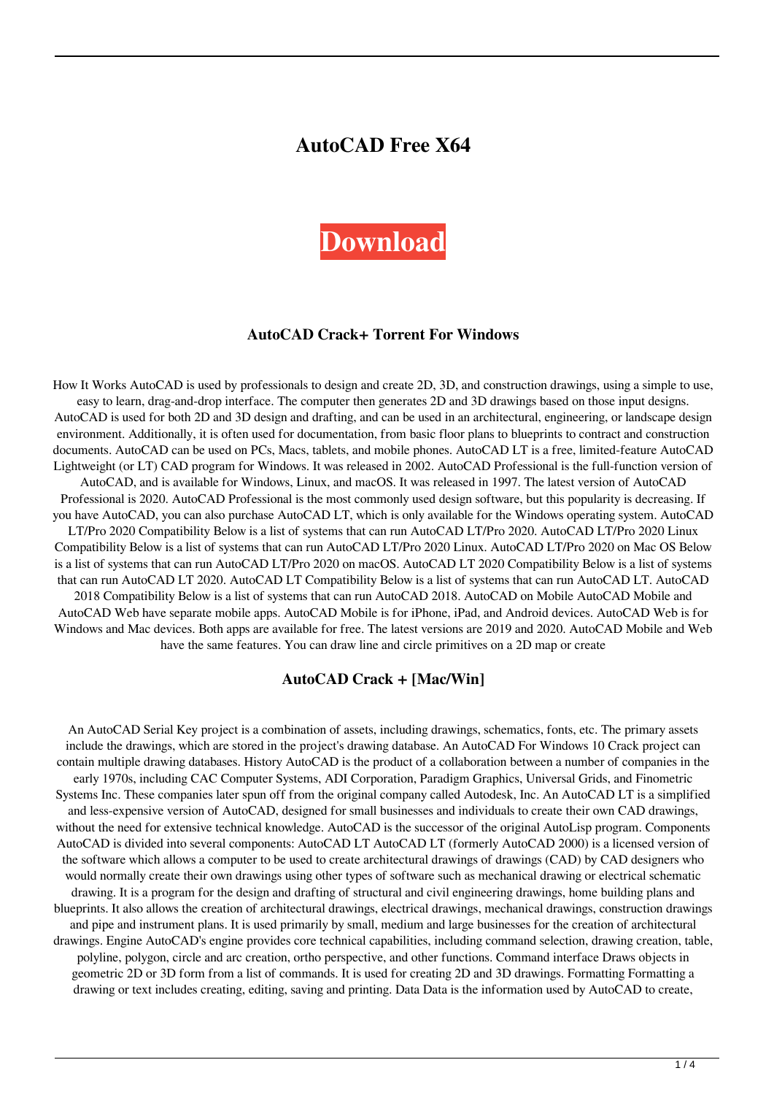# **AutoCAD Free X64**



#### **AutoCAD Crack+ Torrent For Windows**

How It Works AutoCAD is used by professionals to design and create 2D, 3D, and construction drawings, using a simple to use, easy to learn, drag-and-drop interface. The computer then generates 2D and 3D drawings based on those input designs. AutoCAD is used for both 2D and 3D design and drafting, and can be used in an architectural, engineering, or landscape design environment. Additionally, it is often used for documentation, from basic floor plans to blueprints to contract and construction documents. AutoCAD can be used on PCs, Macs, tablets, and mobile phones. AutoCAD LT is a free, limited-feature AutoCAD Lightweight (or LT) CAD program for Windows. It was released in 2002. AutoCAD Professional is the full-function version of AutoCAD, and is available for Windows, Linux, and macOS. It was released in 1997. The latest version of AutoCAD Professional is 2020. AutoCAD Professional is the most commonly used design software, but this popularity is decreasing. If you have AutoCAD, you can also purchase AutoCAD LT, which is only available for the Windows operating system. AutoCAD LT/Pro 2020 Compatibility Below is a list of systems that can run AutoCAD LT/Pro 2020. AutoCAD LT/Pro 2020 Linux Compatibility Below is a list of systems that can run AutoCAD LT/Pro 2020 Linux. AutoCAD LT/Pro 2020 on Mac OS Below is a list of systems that can run AutoCAD LT/Pro 2020 on macOS. AutoCAD LT 2020 Compatibility Below is a list of systems that can run AutoCAD LT 2020. AutoCAD LT Compatibility Below is a list of systems that can run AutoCAD LT. AutoCAD 2018 Compatibility Below is a list of systems that can run AutoCAD 2018. AutoCAD on Mobile AutoCAD Mobile and AutoCAD Web have separate mobile apps. AutoCAD Mobile is for iPhone, iPad, and Android devices. AutoCAD Web is for Windows and Mac devices. Both apps are available for free. The latest versions are 2019 and 2020. AutoCAD Mobile and Web have the same features. You can draw line and circle primitives on a 2D map or create

#### **AutoCAD Crack + [Mac/Win]**

An AutoCAD Serial Key project is a combination of assets, including drawings, schematics, fonts, etc. The primary assets include the drawings, which are stored in the project's drawing database. An AutoCAD For Windows 10 Crack project can contain multiple drawing databases. History AutoCAD is the product of a collaboration between a number of companies in the early 1970s, including CAC Computer Systems, ADI Corporation, Paradigm Graphics, Universal Grids, and Finometric Systems Inc. These companies later spun off from the original company called Autodesk, Inc. An AutoCAD LT is a simplified and less-expensive version of AutoCAD, designed for small businesses and individuals to create their own CAD drawings, without the need for extensive technical knowledge. AutoCAD is the successor of the original AutoLisp program. Components AutoCAD is divided into several components: AutoCAD LT AutoCAD LT (formerly AutoCAD 2000) is a licensed version of the software which allows a computer to be used to create architectural drawings of drawings (CAD) by CAD designers who would normally create their own drawings using other types of software such as mechanical drawing or electrical schematic drawing. It is a program for the design and drafting of structural and civil engineering drawings, home building plans and blueprints. It also allows the creation of architectural drawings, electrical drawings, mechanical drawings, construction drawings and pipe and instrument plans. It is used primarily by small, medium and large businesses for the creation of architectural drawings. Engine AutoCAD's engine provides core technical capabilities, including command selection, drawing creation, table, polyline, polygon, circle and arc creation, ortho perspective, and other functions. Command interface Draws objects in geometric 2D or 3D form from a list of commands. It is used for creating 2D and 3D drawings. Formatting Formatting a drawing or text includes creating, editing, saving and printing. Data Data is the information used by AutoCAD to create,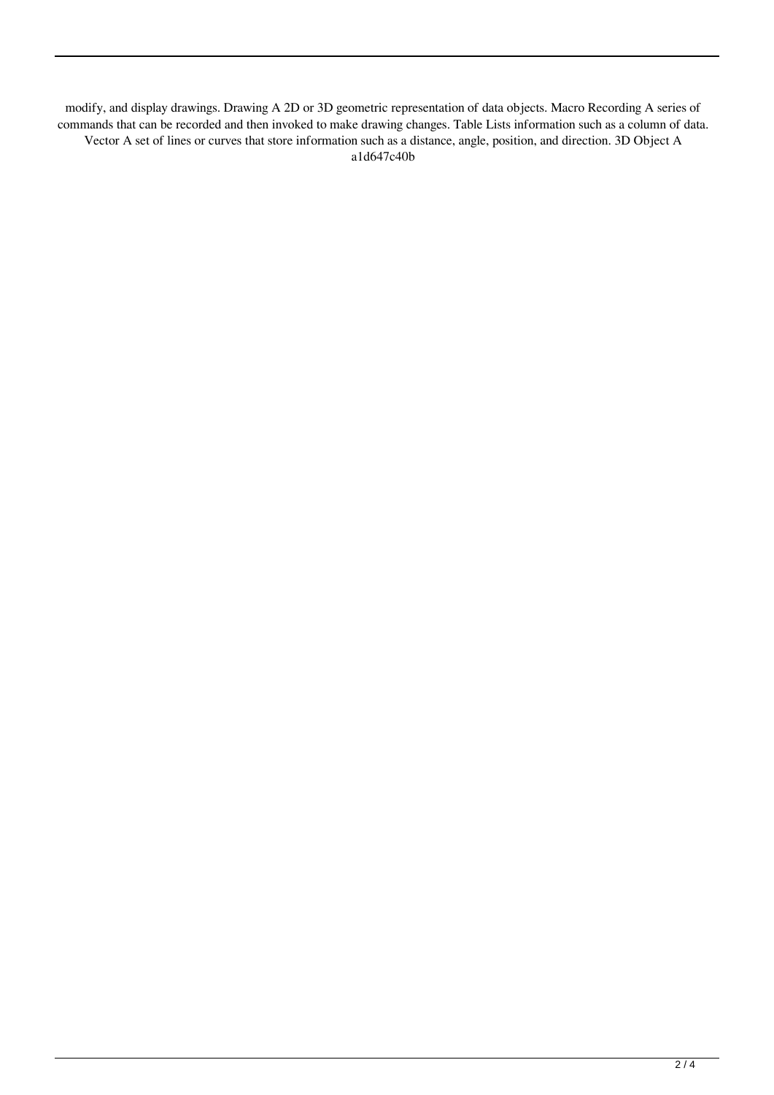modify, and display drawings. Drawing A 2D or 3D geometric representation of data objects. Macro Recording A series of commands that can be recorded and then invoked to make drawing changes. Table Lists information such as a column of data. Vector A set of lines or curves that store information such as a distance, angle, position, and direction. 3D Object A a1d647c40b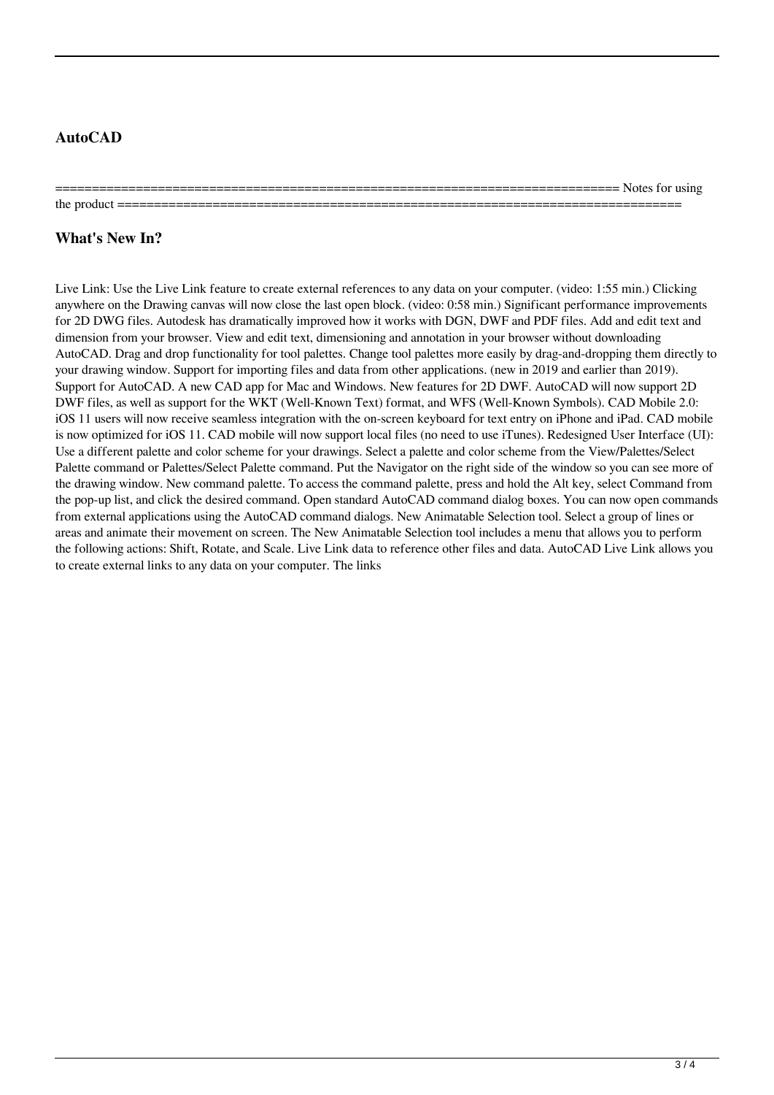## **AutoCAD**

 $=$  Notes for using the product  $=$ 

# **What's New In?**

Live Link: Use the Live Link feature to create external references to any data on your computer. (video: 1:55 min.) Clicking anywhere on the Drawing canvas will now close the last open block. (video: 0:58 min.) Significant performance improvements for 2D DWG files. Autodesk has dramatically improved how it works with DGN, DWF and PDF files. Add and edit text and dimension from your browser. View and edit text, dimensioning and annotation in your browser without downloading AutoCAD. Drag and drop functionality for tool palettes. Change tool palettes more easily by drag-and-dropping them directly to your drawing window. Support for importing files and data from other applications. (new in 2019 and earlier than 2019). Support for AutoCAD. A new CAD app for Mac and Windows. New features for 2D DWF. AutoCAD will now support 2D DWF files, as well as support for the WKT (Well-Known Text) format, and WFS (Well-Known Symbols). CAD Mobile 2.0: iOS 11 users will now receive seamless integration with the on-screen keyboard for text entry on iPhone and iPad. CAD mobile is now optimized for iOS 11. CAD mobile will now support local files (no need to use iTunes). Redesigned User Interface (UI): Use a different palette and color scheme for your drawings. Select a palette and color scheme from the View/Palettes/Select Palette command or Palettes/Select Palette command. Put the Navigator on the right side of the window so you can see more of the drawing window. New command palette. To access the command palette, press and hold the Alt key, select Command from the pop-up list, and click the desired command. Open standard AutoCAD command dialog boxes. You can now open commands from external applications using the AutoCAD command dialogs. New Animatable Selection tool. Select a group of lines or areas and animate their movement on screen. The New Animatable Selection tool includes a menu that allows you to perform the following actions: Shift, Rotate, and Scale. Live Link data to reference other files and data. AutoCAD Live Link allows you to create external links to any data on your computer. The links